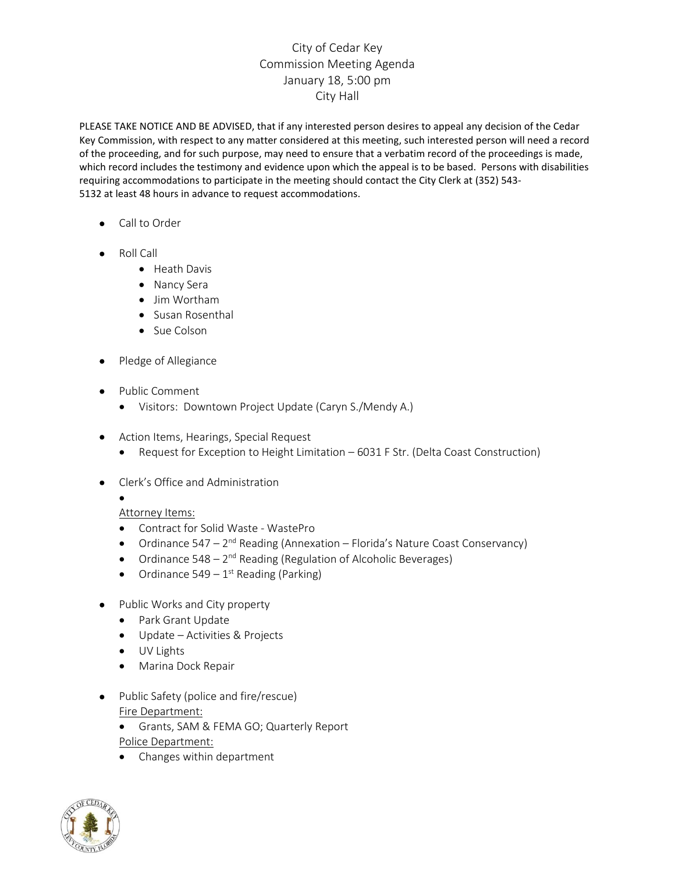## City of Cedar Key Commission Meeting Agenda January 18, 5:00 pm City Hall

PLEASE TAKE NOTICE AND BE ADVISED, that if any interested person desires to appeal any decision of the Cedar Key Commission, with respect to any matter considered at this meeting, such interested person will need a record of the proceeding, and for such purpose, may need to ensure that a verbatim record of the proceedings is made, which record includes the testimony and evidence upon which the appeal is to be based. Persons with disabilities requiring accommodations to participate in the meeting should contact the City Clerk at (352) 543- 5132 at least 48 hours in advance to request accommodations.

- Call to Order
- Roll Call
	- Heath Davis
	- Nancy Sera
	- Jim Wortham
	- Susan Rosenthal
	- Sue Colson
- Pledge of Allegiance
- Public Comment
	- Visitors: Downtown Project Update (Caryn S./Mendy A.)
- Action Items, Hearings, Special Request
	- Request for Exception to Height Limitation 6031 F Str. (Delta Coast Construction)
- Clerk's Office and Administration

## Attorney Items:

•

- Contract for Solid Waste WastePro
- Ordinance  $547 2^{nd}$  Reading (Annexation Florida's Nature Coast Conservancy)
- Ordinance 548 2<sup>nd</sup> Reading (Regulation of Alcoholic Beverages)
- Ordinance  $549 1^{st}$  Reading (Parking)
- Public Works and City property
	- Park Grant Update
	- Update Activities & Projects
	- UV Lights
	- Marina Dock Repair
- Public Safety (police and fire/rescue) Fire Department:
	- Grants, SAM & FEMA GO; Quarterly Report
	- Police Department:
	- Changes within department